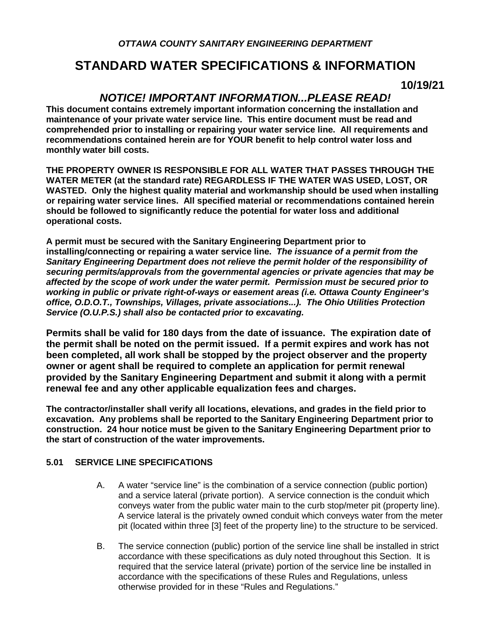## **STANDARD WATER SPECIFICATIONS & INFORMATION**

**10/19/21**

### *NOTICE! IMPORTANT INFORMATION...PLEASE READ!*

**This document contains extremely important information concerning the installation and maintenance of your private water service line. This entire document must be read and comprehended prior to installing or repairing your water service line. All requirements and recommendations contained herein are for YOUR benefit to help control water loss and monthly water bill costs.**

**THE PROPERTY OWNER IS RESPONSIBLE FOR ALL WATER THAT PASSES THROUGH THE WATER METER (at the standard rate) REGARDLESS IF THE WATER WAS USED, LOST, OR WASTED. Only the highest quality material and workmanship should be used when installing or repairing water service lines. All specified material or recommendations contained herein should be followed to significantly reduce the potential for water loss and additional operational costs.**

**A permit must be secured with the Sanitary Engineering Department prior to installing/connecting or repairing a water service line.** *The issuance of a permit from the Sanitary Engineering Department does not relieve the permit holder of the responsibility of securing permits/approvals from the governmental agencies or private agencies that may be affected by the scope of work under the water permit. Permission must be secured prior to working in public or private right-of-ways or easement areas (i.e. Ottawa County Engineer's office, O.D.O.T., Townships, Villages, private associations...). The Ohio Utilities Protection Service (O.U.P.S.) shall also be contacted prior to excavating.*

**Permits shall be valid for 180 days from the date of issuance. The expiration date of the permit shall be noted on the permit issued. If a permit expires and work has not been completed, all work shall be stopped by the project observer and the property owner or agent shall be required to complete an application for permit renewal provided by the Sanitary Engineering Department and submit it along with a permit renewal fee and any other applicable equalization fees and charges.**

**The contractor/installer shall verify all locations, elevations, and grades in the field prior to excavation. Any problems shall be reported to the Sanitary Engineering Department prior to construction. 24 hour notice must be given to the Sanitary Engineering Department prior to the start of construction of the water improvements.**

#### **5.01 SERVICE LINE SPECIFICATIONS**

- A. A water "service line" is the combination of a service connection (public portion) and a service lateral (private portion). A service connection is the conduit which conveys water from the public water main to the curb stop/meter pit (property line). A service lateral is the privately owned conduit which conveys water from the meter pit (located within three [3] feet of the property line) to the structure to be serviced.
- B. The service connection (public) portion of the service line shall be installed in strict accordance with these specifications as duly noted throughout this Section. It is required that the service lateral (private) portion of the service line be installed in accordance with the specifications of these Rules and Regulations, unless otherwise provided for in these "Rules and Regulations."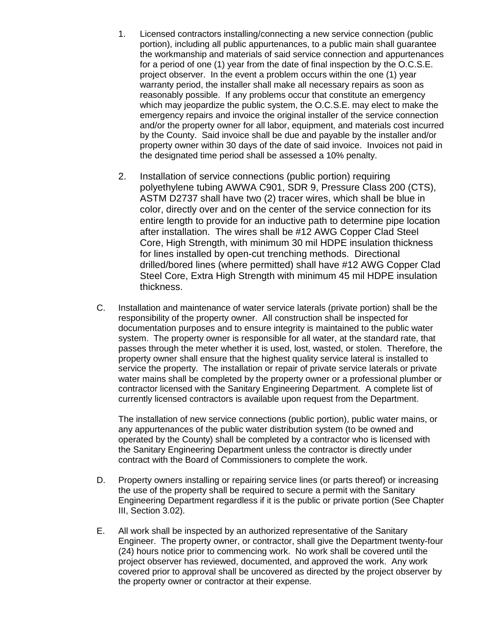- 1. Licensed contractors installing/connecting a new service connection (public portion), including all public appurtenances, to a public main shall guarantee the workmanship and materials of said service connection and appurtenances for a period of one (1) year from the date of final inspection by the O.C.S.E. project observer. In the event a problem occurs within the one (1) year warranty period, the installer shall make all necessary repairs as soon as reasonably possible. If any problems occur that constitute an emergency which may jeopardize the public system, the O.C.S.E. may elect to make the emergency repairs and invoice the original installer of the service connection and/or the property owner for all labor, equipment, and materials cost incurred by the County. Said invoice shall be due and payable by the installer and/or property owner within 30 days of the date of said invoice. Invoices not paid in the designated time period shall be assessed a 10% penalty.
- 2. Installation of service connections (public portion) requiring polyethylene tubing AWWA C901, SDR 9, Pressure Class 200 (CTS), ASTM D2737 shall have two (2) tracer wires, which shall be blue in color, directly over and on the center of the service connection for its entire length to provide for an inductive path to determine pipe location after installation. The wires shall be #12 AWG Copper Clad Steel Core, High Strength, with minimum 30 mil HDPE insulation thickness for lines installed by open-cut trenching methods. Directional drilled/bored lines (where permitted) shall have #12 AWG Copper Clad Steel Core, Extra High Strength with minimum 45 mil HDPE insulation thickness.
- C. Installation and maintenance of water service laterals (private portion) shall be the responsibility of the property owner. All construction shall be inspected for documentation purposes and to ensure integrity is maintained to the public water system. The property owner is responsible for all water, at the standard rate, that passes through the meter whether it is used, lost, wasted, or stolen. Therefore, the property owner shall ensure that the highest quality service lateral is installed to service the property. The installation or repair of private service laterals or private water mains shall be completed by the property owner or a professional plumber or contractor licensed with the Sanitary Engineering Department. A complete list of currently licensed contractors is available upon request from the Department.

The installation of new service connections (public portion), public water mains, or any appurtenances of the public water distribution system (to be owned and operated by the County) shall be completed by a contractor who is licensed with the Sanitary Engineering Department unless the contractor is directly under contract with the Board of Commissioners to complete the work.

- D. Property owners installing or repairing service lines (or parts thereof) or increasing the use of the property shall be required to secure a permit with the Sanitary Engineering Department regardless if it is the public or private portion (See Chapter III, Section 3.02).
- E. All work shall be inspected by an authorized representative of the Sanitary Engineer. The property owner, or contractor, shall give the Department twenty-four (24) hours notice prior to commencing work. No work shall be covered until the project observer has reviewed, documented, and approved the work. Any work covered prior to approval shall be uncovered as directed by the project observer by the property owner or contractor at their expense.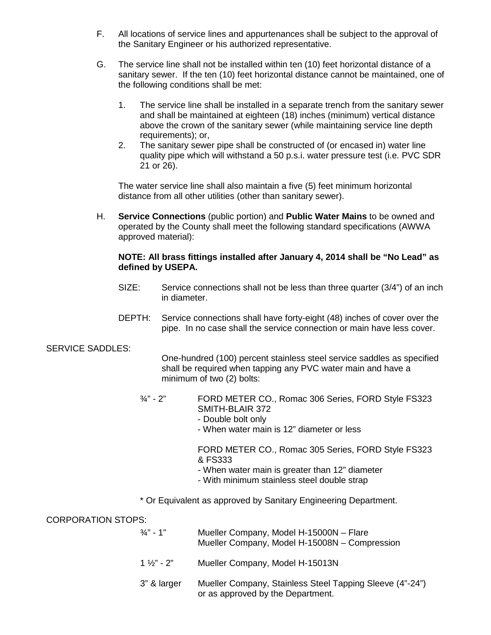- F. All locations of service lines and appurtenances shall be subject to the approval of the Sanitary Engineer or his authorized representative.
- G. The service line shall not be installed within ten (10) feet horizontal distance of a sanitary sewer. If the ten (10) feet horizontal distance cannot be maintained, one of the following conditions shall be met:
	- 1. The service line shall be installed in a separate trench from the sanitary sewer and shall be maintained at eighteen (18) inches (minimum) vertical distance above the crown of the sanitary sewer (while maintaining service line depth requirements); or,
	- 2. The sanitary sewer pipe shall be constructed of (or encased in) water line quality pipe which will withstand a 50 p.s.i. water pressure test (i.e. PVC SDR 21 or 26).

The water service line shall also maintain a five (5) feet minimum horizontal distance from all other utilities (other than sanitary sewer).

H. **Service Connections** (public portion) and **Public Water Mains** to be owned and operated by the County shall meet the following standard specifications (AWWA approved material):

#### **NOTE: All brass fittings installed after January 4, 2014 shall be "No Lead" as defined by USEPA.**

- SIZE: Service connections shall not be less than three quarter (3/4") of an inch in diameter.
- DEPTH: Service connections shall have forty-eight (48) inches of cover over the pipe. In no case shall the service connection or main have less cover.

#### SERVICE SADDLES:

One-hundred (100) percent stainless steel service saddles as specified shall be required when tapping any PVC water main and have a minimum of two (2) bolts:

- ¾" 2" FORD METER CO., Romac 306 Series, FORD Style FS323 SMITH-BLAIR 372
	- Double bolt only
	- When water main is 12" diameter or less

FORD METER CO., Romac 305 Series, FORD Style FS323 & FS333

- When water main is greater than 12" diameter
- With minimum stainless steel double strap
- \* Or Equivalent as approved by Sanitary Engineering Department.

CORPORATION STOPS:

- ¾" 1" Mueller Company, Model H-15000N Flare Mueller Company, Model H-15008N – Compression
- 1 ½" 2" Mueller Company, Model H-15013N
- 3" & larger Mueller Company, Stainless Steel Tapping Sleeve (4"-24") or as approved by the Department.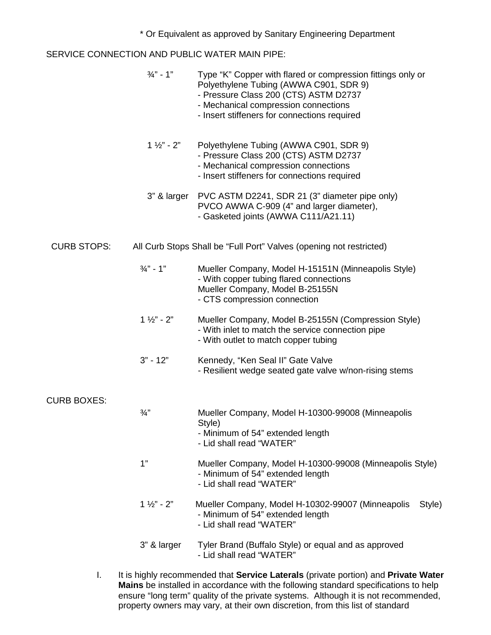\* Or Equivalent as approved by Sanitary Engineering Department

SERVICE CONNECTION AND PUBLIC WATER MAIN PIPE:

|                    | $\frac{3}{4}$ " - 1"   | Type "K" Copper with flared or compression fittings only or<br>Polyethylene Tubing (AWWA C901, SDR 9)<br>- Pressure Class 200 (CTS) ASTM D2737<br>- Mechanical compression connections<br>- Insert stiffeners for connections required |
|--------------------|------------------------|----------------------------------------------------------------------------------------------------------------------------------------------------------------------------------------------------------------------------------------|
|                    | $1 \frac{1}{2}$ " - 2" | Polyethylene Tubing (AWWA C901, SDR 9)<br>- Pressure Class 200 (CTS) ASTM D2737<br>- Mechanical compression connections<br>- Insert stiffeners for connections required                                                                |
|                    | 3" & larger            | PVC ASTM D2241, SDR 21 (3" diameter pipe only)<br>PVCO AWWA C-909 (4" and larger diameter),<br>- Gasketed joints (AWWA C111/A21.11)                                                                                                    |
| <b>CURB STOPS:</b> |                        | All Curb Stops Shall be "Full Port" Valves (opening not restricted)                                                                                                                                                                    |
|                    | $\frac{3}{4}$ " - 1"   | Mueller Company, Model H-15151N (Minneapolis Style)<br>- With copper tubing flared connections<br>Mueller Company, Model B-25155N<br>- CTS compression connection                                                                      |
|                    | $1 \frac{1}{2}$ " - 2" | Mueller Company, Model B-25155N (Compression Style)<br>- With inlet to match the service connection pipe<br>- With outlet to match copper tubing                                                                                       |
|                    | $3" - 12"$             | Kennedy, "Ken Seal II" Gate Valve<br>- Resilient wedge seated gate valve w/non-rising stems                                                                                                                                            |
| <b>CURB BOXES:</b> |                        |                                                                                                                                                                                                                                        |
|                    | $\frac{3}{4}$ "        | Mueller Company, Model H-10300-99008 (Minneapolis<br>Style)<br>- Minimum of 54" extended length<br>- Lid shall read "WATER"                                                                                                            |
|                    | 1"                     | Mueller Company, Model H-10300-99008 (Minneapolis Style)<br>- Minimum of 54" extended length<br>- Lid shall read "WATER"                                                                                                               |
|                    | $1 \frac{1}{2}$ - 2"   | Mueller Company, Model H-10302-99007 (Minneapolis<br>Style)<br>- Minimum of 54" extended length<br>- Lid shall read "WATER"                                                                                                            |
|                    | 3" & larger            | Tyler Brand (Buffalo Style) or equal and as approved<br>- Lid shall read "WATER"                                                                                                                                                       |

I. It is highly recommended that **Service Laterals** (private portion) and **Private Water Mains** be installed in accordance with the following standard specifications to help ensure "long term" quality of the private systems. Although it is not recommended, property owners may vary, at their own discretion, from this list of standard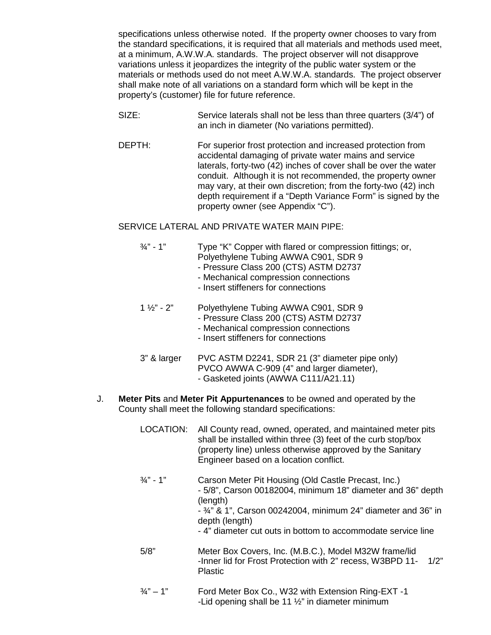specifications unless otherwise noted. If the property owner chooses to vary from the standard specifications, it is required that all materials and methods used meet, at a minimum, A.W.W.A. standards. The project observer will not disapprove variations unless it jeopardizes the integrity of the public water system or the materials or methods used do not meet A.W.W.A. standards. The project observer shall make note of all variations on a standard form which will be kept in the property's (customer) file for future reference.

- SIZE: Service laterals shall not be less than three quarters (3/4") of an inch in diameter (No variations permitted).
- DEPTH: For superior frost protection and increased protection from accidental damaging of private water mains and service laterals, forty-two (42) inches of cover shall be over the water conduit. Although it is not recommended, the property owner may vary, at their own discretion; from the forty-two (42) inch depth requirement if a "Depth Variance Form" is signed by the property owner (see Appendix "C").

#### SERVICE LATERAL AND PRIVATE WATER MAIN PIPE:

- ¾" 1" Type "K" Copper with flared or compression fittings; or, Polyethylene Tubing AWWA C901, SDR 9
	- Pressure Class 200 (CTS) ASTM D2737
	- Mechanical compression connections
	- Insert stiffeners for connections
- 1 ½" 2" Polyethylene Tubing AWWA C901, SDR 9
	- Pressure Class 200 (CTS) ASTM D2737
	- Mechanical compression connections
	- Insert stiffeners for connections
- 3" & larger PVC ASTM D2241, SDR 21 (3" diameter pipe only) PVCO AWWA C-909 (4" and larger diameter),
	- Gasketed joints (AWWA C111/A21.11)
- J. **Meter Pits** and **Meter Pit Appurtenances** to be owned and operated by the County shall meet the following standard specifications:
	- LOCATION: All County read, owned, operated, and maintained meter pits shall be installed within three (3) feet of the curb stop/box (property line) unless otherwise approved by the Sanitary Engineer based on a location conflict.
	- ¾" 1" Carson Meter Pit Housing (Old Castle Precast, Inc.) - 5/8", Carson 00182004, minimum 18" diameter and 36" depth (length) - ¾" & 1", Carson 00242004, minimum 24" diameter and 36" in depth (length) - 4" diameter cut outs in bottom to accommodate service line
	- 5/8" Meter Box Covers, Inc. (M.B.C.), Model M32W frame/lid -Inner lid for Frost Protection with 2" recess, W3BPD 11- 1/2" Plastic
	- ¾" 1" Ford Meter Box Co., W32 with Extension Ring-EXT -1 -Lid opening shall be 11 ½" in diameter minimum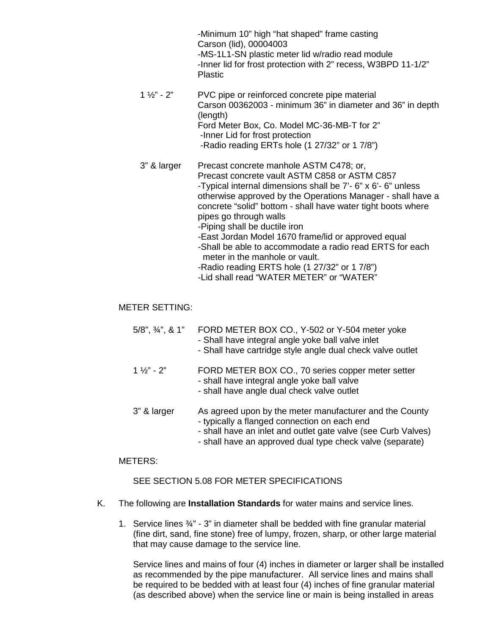-Minimum 10" high "hat shaped" frame casting Carson (lid), 00004003 -MS-1L1-SN plastic meter lid w/radio read module -Inner lid for frost protection with 2" recess, W3BPD 11-1/2" Plastic

- 1 ½" 2" PVC pipe or reinforced concrete pipe material Carson 00362003 - minimum 36" in diameter and 36" in depth (length) Ford Meter Box, Co. Model MC-36-MB-T for 2" -Inner Lid for frost protection -Radio reading ERTs hole (1 27/32" or 1 7/8")
- 3" & larger Precast concrete manhole ASTM C478; or, Precast concrete vault ASTM C858 or ASTM C857 -Typical internal dimensions shall be 7'- 6" x 6'- 6" unless otherwise approved by the Operations Manager - shall have a concrete "solid" bottom - shall have water tight boots where pipes go through walls
	- -Piping shall be ductile iron
	- -East Jordan Model 1670 frame/lid or approved equal
	- -Shall be able to accommodate a radio read ERTS for each meter in the manhole or vault.
	- -Radio reading ERTS hole (1 27/32" or 1 7/8")
	- -Lid shall read "WATER METER" or "WATER"

#### METER SETTING:

| $5/8$ ", $3/4$ ", & 1" | FORD METER BOX CO., Y-502 or Y-504 meter yoke<br>- Shall have integral angle yoke ball valve inlet<br>- Shall have cartridge style angle dual check valve outlet                                                                      |
|------------------------|---------------------------------------------------------------------------------------------------------------------------------------------------------------------------------------------------------------------------------------|
| $1\frac{1}{2}$ - 2"    | FORD METER BOX CO., 70 series copper meter setter<br>- shall have integral angle yoke ball valve<br>- shall have angle dual check valve outlet                                                                                        |
| 3" & larger            | As agreed upon by the meter manufacturer and the County<br>- typically a flanged connection on each end<br>- shall have an inlet and outlet gate valve (see Curb Valves)<br>- shall have an approved dual type check valve (separate) |

#### METERS:

#### SEE SECTION 5.08 FOR METER SPECIFICATIONS

- K. The following are **Installation Standards** for water mains and service lines.
	- 1. Service lines  $\frac{3}{4}$ " 3" in diameter shall be bedded with fine granular material (fine dirt, sand, fine stone) free of lumpy, frozen, sharp, or other large material that may cause damage to the service line.

Service lines and mains of four (4) inches in diameter or larger shall be installed as recommended by the pipe manufacturer. All service lines and mains shall be required to be bedded with at least four (4) inches of fine granular material (as described above) when the service line or main is being installed in areas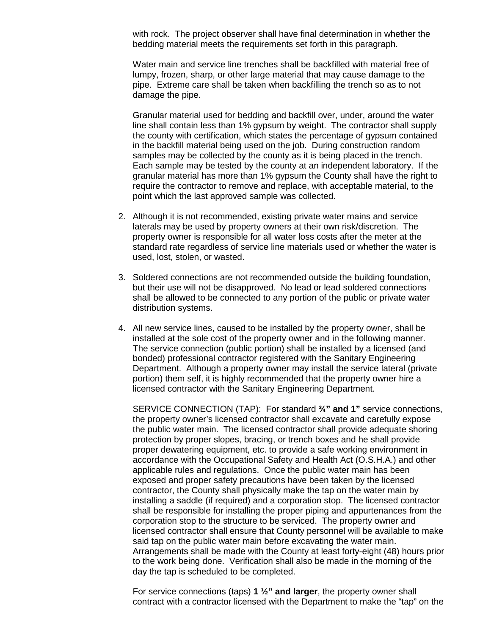with rock. The project observer shall have final determination in whether the bedding material meets the requirements set forth in this paragraph.

Water main and service line trenches shall be backfilled with material free of lumpy, frozen, sharp, or other large material that may cause damage to the pipe. Extreme care shall be taken when backfilling the trench so as to not damage the pipe.

Granular material used for bedding and backfill over, under, around the water line shall contain less than 1% gypsum by weight. The contractor shall supply the county with certification, which states the percentage of gypsum contained in the backfill material being used on the job. During construction random samples may be collected by the county as it is being placed in the trench. Each sample may be tested by the county at an independent laboratory. If the granular material has more than 1% gypsum the County shall have the right to require the contractor to remove and replace, with acceptable material, to the point which the last approved sample was collected.

- 2. Although it is not recommended, existing private water mains and service laterals may be used by property owners at their own risk/discretion. The property owner is responsible for all water loss costs after the meter at the standard rate regardless of service line materials used or whether the water is used, lost, stolen, or wasted.
- 3. Soldered connections are not recommended outside the building foundation, but their use will not be disapproved. No lead or lead soldered connections shall be allowed to be connected to any portion of the public or private water distribution systems.
- 4. All new service lines, caused to be installed by the property owner, shall be installed at the sole cost of the property owner and in the following manner. The service connection (public portion) shall be installed by a licensed (and bonded) professional contractor registered with the Sanitary Engineering Department. Although a property owner may install the service lateral (private portion) them self, it is highly recommended that the property owner hire a licensed contractor with the Sanitary Engineering Department.

SERVICE CONNECTION (TAP): For standard **¾" and 1"** service connections, the property owner's licensed contractor shall excavate and carefully expose the public water main. The licensed contractor shall provide adequate shoring protection by proper slopes, bracing, or trench boxes and he shall provide proper dewatering equipment, etc. to provide a safe working environment in accordance with the Occupational Safety and Health Act (O.S.H.A.) and other applicable rules and regulations. Once the public water main has been exposed and proper safety precautions have been taken by the licensed contractor, the County shall physically make the tap on the water main by installing a saddle (if required) and a corporation stop. The licensed contractor shall be responsible for installing the proper piping and appurtenances from the corporation stop to the structure to be serviced. The property owner and licensed contractor shall ensure that County personnel will be available to make said tap on the public water main before excavating the water main. Arrangements shall be made with the County at least forty-eight (48) hours prior to the work being done. Verification shall also be made in the morning of the day the tap is scheduled to be completed.

For service connections (taps) **1 ½" and larger**, the property owner shall contract with a contractor licensed with the Department to make the "tap" on the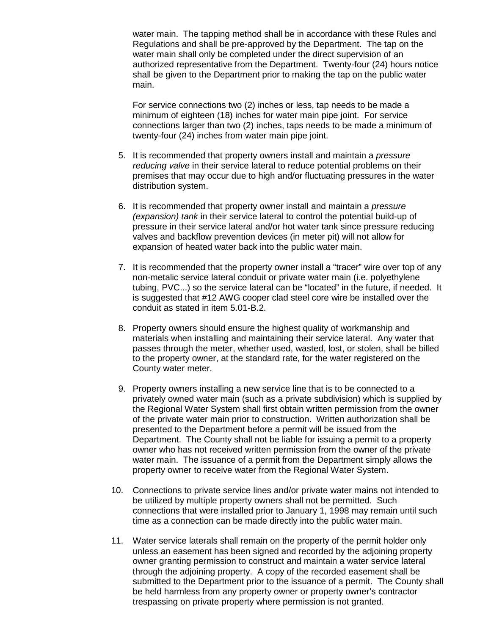water main. The tapping method shall be in accordance with these Rules and Regulations and shall be pre-approved by the Department. The tap on the water main shall only be completed under the direct supervision of an authorized representative from the Department. Twenty-four (24) hours notice shall be given to the Department prior to making the tap on the public water main.

For service connections two (2) inches or less, tap needs to be made a minimum of eighteen (18) inches for water main pipe joint. For service connections larger than two (2) inches, taps needs to be made a minimum of twenty-four (24) inches from water main pipe joint.

- 5. It is recommended that property owners install and maintain a *pressure reducing valve* in their service lateral to reduce potential problems on their premises that may occur due to high and/or fluctuating pressures in the water distribution system.
- 6. It is recommended that property owner install and maintain a *pressure (expansion) tank* in their service lateral to control the potential build-up of pressure in their service lateral and/or hot water tank since pressure reducing valves and backflow prevention devices (in meter pit) will not allow for expansion of heated water back into the public water main.
- 7. It is recommended that the property owner install a "tracer" wire over top of any non-metalic service lateral conduit or private water main (i.e. polyethylene tubing, PVC...) so the service lateral can be "located" in the future, if needed. It is suggested that #12 AWG cooper clad steel core wire be installed over the conduit as stated in item 5.01-B.2.
- 8. Property owners should ensure the highest quality of workmanship and materials when installing and maintaining their service lateral. Any water that passes through the meter, whether used, wasted, lost, or stolen, shall be billed to the property owner, at the standard rate, for the water registered on the County water meter.
- 9. Property owners installing a new service line that is to be connected to a privately owned water main (such as a private subdivision) which is supplied by the Regional Water System shall first obtain written permission from the owner of the private water main prior to construction. Written authorization shall be presented to the Department before a permit will be issued from the Department. The County shall not be liable for issuing a permit to a property owner who has not received written permission from the owner of the private water main. The issuance of a permit from the Department simply allows the property owner to receive water from the Regional Water System.
- 10. Connections to private service lines and/or private water mains not intended to be utilized by multiple property owners shall not be permitted. Such connections that were installed prior to January 1, 1998 may remain until such time as a connection can be made directly into the public water main.
- 11. Water service laterals shall remain on the property of the permit holder only unless an easement has been signed and recorded by the adjoining property owner granting permission to construct and maintain a water service lateral through the adjoining property. A copy of the recorded easement shall be submitted to the Department prior to the issuance of a permit. The County shall be held harmless from any property owner or property owner's contractor trespassing on private property where permission is not granted.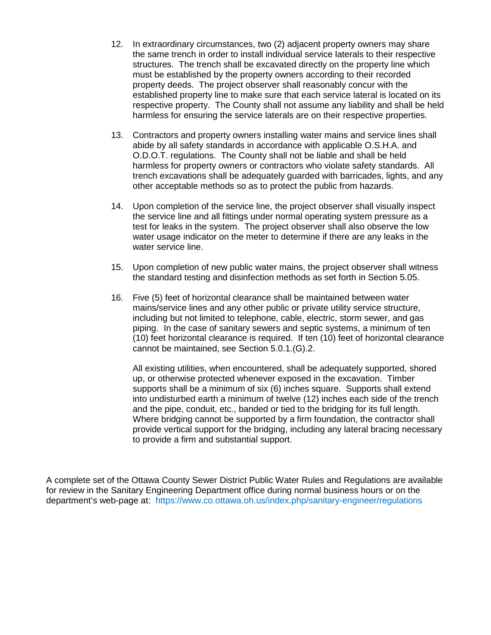- 12. In extraordinary circumstances, two (2) adjacent property owners may share the same trench in order to install individual service laterals to their respective structures. The trench shall be excavated directly on the property line which must be established by the property owners according to their recorded property deeds. The project observer shall reasonably concur with the established property line to make sure that each service lateral is located on its respective property. The County shall not assume any liability and shall be held harmless for ensuring the service laterals are on their respective properties.
- 13. Contractors and property owners installing water mains and service lines shall abide by all safety standards in accordance with applicable O.S.H.A. and O.D.O.T. regulations. The County shall not be liable and shall be held harmless for property owners or contractors who violate safety standards. All trench excavations shall be adequately guarded with barricades, lights, and any other acceptable methods so as to protect the public from hazards.
- 14. Upon completion of the service line, the project observer shall visually inspect the service line and all fittings under normal operating system pressure as a test for leaks in the system. The project observer shall also observe the low water usage indicator on the meter to determine if there are any leaks in the water service line.
- 15. Upon completion of new public water mains, the project observer shall witness the standard testing and disinfection methods as set forth in Section 5.05.
- 16. Five (5) feet of horizontal clearance shall be maintained between water mains/service lines and any other public or private utility service structure, including but not limited to telephone, cable, electric, storm sewer, and gas piping. In the case of sanitary sewers and septic systems, a minimum of ten (10) feet horizontal clearance is required. If ten (10) feet of horizontal clearance cannot be maintained, see Section 5.0.1.(G).2.

All existing utilities, when encountered, shall be adequately supported, shored up, or otherwise protected whenever exposed in the excavation. Timber supports shall be a minimum of six (6) inches square. Supports shall extend into undisturbed earth a minimum of twelve (12) inches each side of the trench and the pipe, conduit, etc., banded or tied to the bridging for its full length. Where bridging cannot be supported by a firm foundation, the contractor shall provide vertical support for the bridging, including any lateral bracing necessary to provide a firm and substantial support.

A complete set of the Ottawa County Sewer District Public Water Rules and Regulations are available for review in the Sanitary Engineering Department office during normal business hours or on the department's web-page at: https://www.co.ottawa.oh.us/index.php/sanitary-engineer/regulations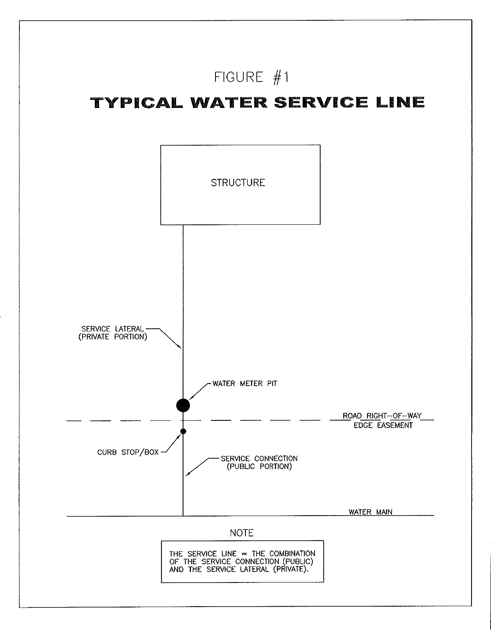# FIGURE  $#1$

## TYPICAL WATER SERVICE LINE

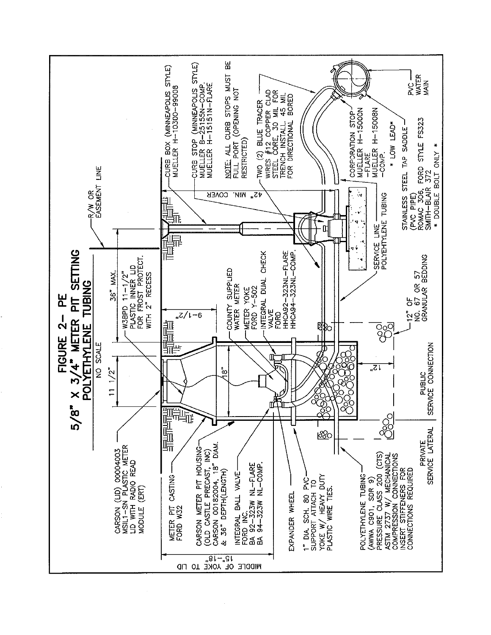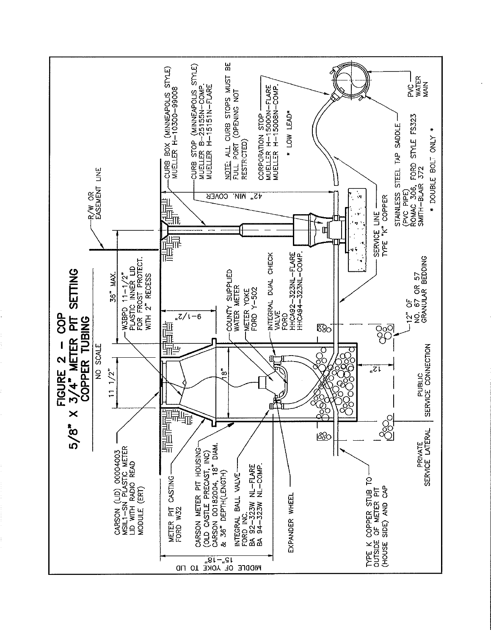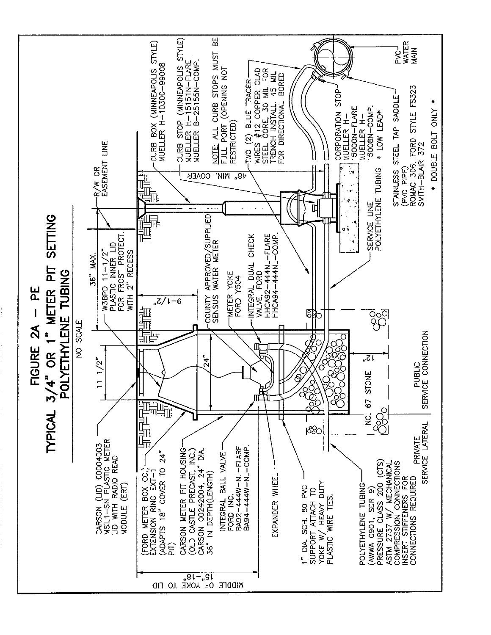